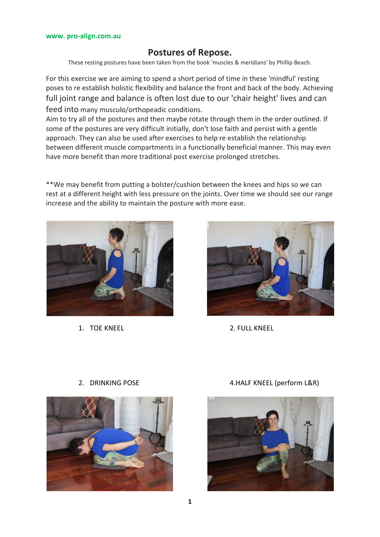## **Postures of Repose.**

These resting postures have been taken from the book 'muscles & meridians' by Phillip Beach.

For this exercise we are aiming to spend a short period of time in these 'mindful' resting poses to re establish holistic flexibility and balance the front and back of the body. Achieving full joint range and balance is often lost due to our 'chair height' lives and can feed into many musculo/orthopeadic conditions.

Aim to try all of the postures and then maybe rotate through them in the order outlined. If some of the postures are very difficult initially, don't lose faith and persist with a gentle approach. They can also be used after exercises to help re establish the relationship between different muscle compartments in a functionally beneficial manner. This may even have more benefit than more traditional post exercise prolonged stretches.

\*\*We may benefit from putting a bolster/cushion between the knees and hips so we can rest at a different height with less pressure on the joints. Over time we should see our range increase and the ability to maintain the posture with more ease.



1. TOF KNEEL 2. FULL KNEEL







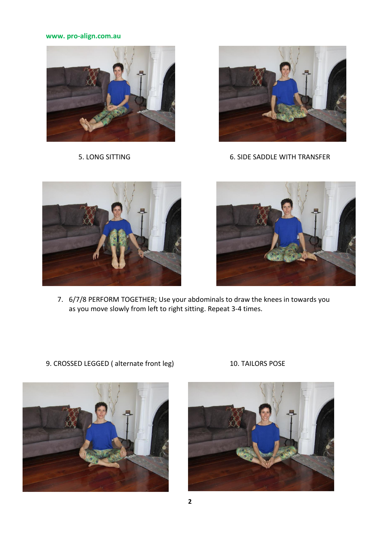### **www. pro-align.com.au**





5. LONG SITTING 6. SIDE SADDLE WITH TRANSFER





7. 6/7/8 PERFORM TOGETHER; Use your abdominals to draw the knees in towards you as you move slowly from left to right sitting. Repeat 3-4 times.



9. CROSSED LEGGED (alternate front leg) 10. TAILORS POSE